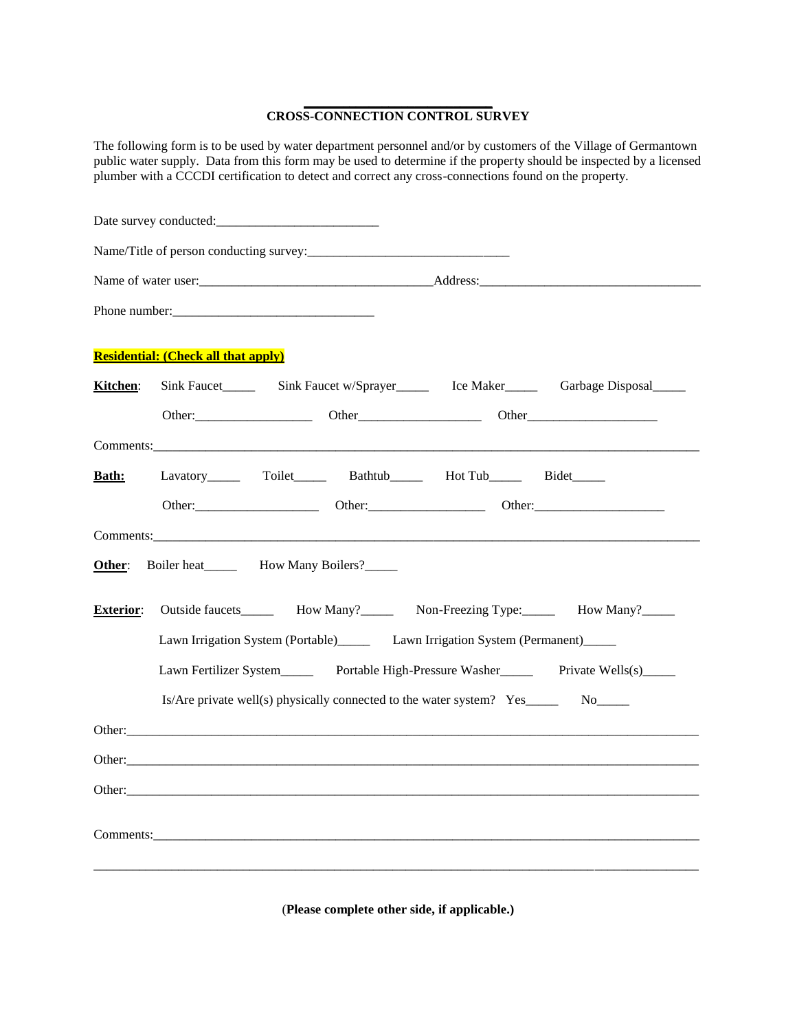## **\_\_\_\_\_\_\_\_\_\_\_\_\_\_\_\_\_\_\_\_\_\_\_\_\_\_\_\_\_ CROSS-CONNECTION CONTROL SURVEY**

The following form is to be used by water department personnel and/or by customers of the Village of Germantown public water supply. Data from this form may be used to determine if the property should be inspected by a licensed plumber with a CCCDI certification to detect and correct any cross-connections found on the property.

|                  | Phone number:                                                               |  |  |                                                                                                                                                                                                                                |                                                                                            |  |  |  |
|------------------|-----------------------------------------------------------------------------|--|--|--------------------------------------------------------------------------------------------------------------------------------------------------------------------------------------------------------------------------------|--------------------------------------------------------------------------------------------|--|--|--|
|                  | <b>Residential: (Check all that apply)</b>                                  |  |  |                                                                                                                                                                                                                                |                                                                                            |  |  |  |
| Kitchen:         |                                                                             |  |  | Sink Faucet Sink Faucet w/Sprayer Ice Maker                                                                                                                                                                                    | Garbage Disposal                                                                           |  |  |  |
|                  |                                                                             |  |  |                                                                                                                                                                                                                                | Other                                                                                      |  |  |  |
|                  |                                                                             |  |  | Comments: experience and the contract of the contract of the contract of the contract of the contract of the contract of the contract of the contract of the contract of the contract of the contract of the contract of the c |                                                                                            |  |  |  |
| <b>Bath:</b>     |                                                                             |  |  | Lavatory_______ Toilet_______ Bathtub_______ Hot Tub______ Bidet______                                                                                                                                                         |                                                                                            |  |  |  |
|                  |                                                                             |  |  |                                                                                                                                                                                                                                |                                                                                            |  |  |  |
|                  |                                                                             |  |  |                                                                                                                                                                                                                                |                                                                                            |  |  |  |
| Other:           | Boiler heat____________ How Many Boilers?________                           |  |  |                                                                                                                                                                                                                                |                                                                                            |  |  |  |
| <b>Exterior:</b> |                                                                             |  |  |                                                                                                                                                                                                                                | Outside faucets_________ How Many?___________ Non-Freezing Type:_________ How Many?_______ |  |  |  |
|                  | Lawn Irrigation System (Portable) Lawn Irrigation System (Permanent)        |  |  |                                                                                                                                                                                                                                |                                                                                            |  |  |  |
|                  | Lawn Fertilizer System Portable High-Pressure Washer Private Wells(s)       |  |  |                                                                                                                                                                                                                                |                                                                                            |  |  |  |
|                  | $Is/Are$ private well(s) physically connected to the water system? Yes_____ |  |  |                                                                                                                                                                                                                                |                                                                                            |  |  |  |
|                  |                                                                             |  |  |                                                                                                                                                                                                                                |                                                                                            |  |  |  |
|                  |                                                                             |  |  |                                                                                                                                                                                                                                |                                                                                            |  |  |  |
|                  |                                                                             |  |  | Other:                                                                                                                                                                                                                         |                                                                                            |  |  |  |
|                  |                                                                             |  |  |                                                                                                                                                                                                                                |                                                                                            |  |  |  |
|                  |                                                                             |  |  |                                                                                                                                                                                                                                |                                                                                            |  |  |  |
|                  |                                                                             |  |  |                                                                                                                                                                                                                                |                                                                                            |  |  |  |

(**Please complete other side, if applicable.)**